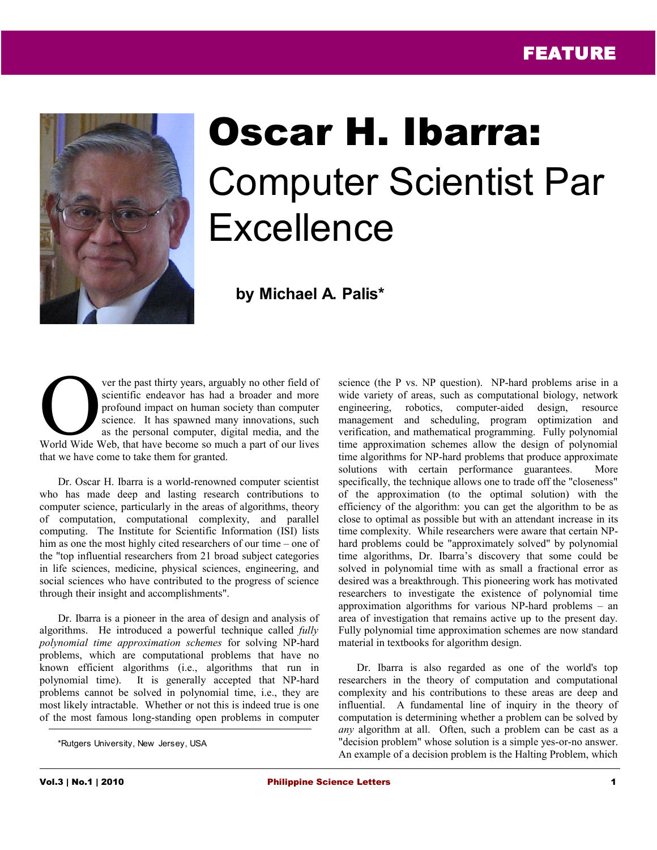

## Oscar H. Ibarra: Computer Scientist Par **Excellence**

 **by Michael A. Palis\***

ver the past thirty years, arguably no other field of scientific endeavor has had a broader and more profound impact on human society than computer science. It has spawned many innovations, such as the personal computer, digital media, and the ver the past thirty years, arguably no other field of<br>scientific endeavor has had a broader and more<br>profound impact on human society than computer<br>science. It has spawned many innovations, such<br>as the personal computer, d that we have come to take them for granted.

Dr. Oscar H. Ibarra is a world-renowned computer scientist who has made deep and lasting research contributions to computer science, particularly in the areas of algorithms, theory of computation, computational complexity, and parallel computing. The Institute for Scientific Information (ISI) lists him as one the most highly cited researchers of our time – one of the "top influential researchers from 21 broad subject categories in life sciences, medicine, physical sciences, engineering, and social sciences who have contributed to the progress of science through their insight and accomplishments".

Dr. Ibarra is a pioneer in the area of design and analysis of algorithms. He introduced a powerful technique called *fully polynomial time approximation schemes* for solving NP-hard problems, which are computational problems that have no known efficient algorithms (i.e., algorithms that run in polynomial time). It is generally accepted that NP-hard problems cannot be solved in polynomial time, i.e., they are most likely intractable. Whether or not this is indeed true is one of the most famous long-standing open problems in computer science (the P vs. NP question). NP-hard problems arise in a wide variety of areas, such as computational biology, network engineering, robotics, computer-aided design, resource management and scheduling, program optimization and verification, and mathematical programming. Fully polynomial time approximation schemes allow the design of polynomial time algorithms for NP-hard problems that produce approximate solutions with certain performance guarantees. More specifically, the technique allows one to trade off the "closeness" of the approximation (to the optimal solution) with the efficiency of the algorithm: you can get the algorithm to be as close to optimal as possible but with an attendant increase in its time complexity. While researchers were aware that certain NPhard problems could be "approximately solved" by polynomial time algorithms, Dr. Ibarra's discovery that some could be solved in polynomial time with as small a fractional error as desired was a breakthrough. This pioneering work has motivated researchers to investigate the existence of polynomial time approximation algorithms for various NP-hard problems – an area of investigation that remains active up to the present day. Fully polynomial time approximation schemes are now standard material in textbooks for algorithm design.

Dr. Ibarra is also regarded as one of the world's top researchers in the theory of computation and computational complexity and his contributions to these areas are deep and influential. A fundamental line of inquiry in the theory of computation is determining whether a problem can be solved by *any* algorithm at all. Often, such a problem can be cast as a "decision problem" whose solution is a simple yes-or-no answer. An example of a decision problem is the Halting Problem, which

<sup>\*</sup>Rutgers University, New Jersey, USA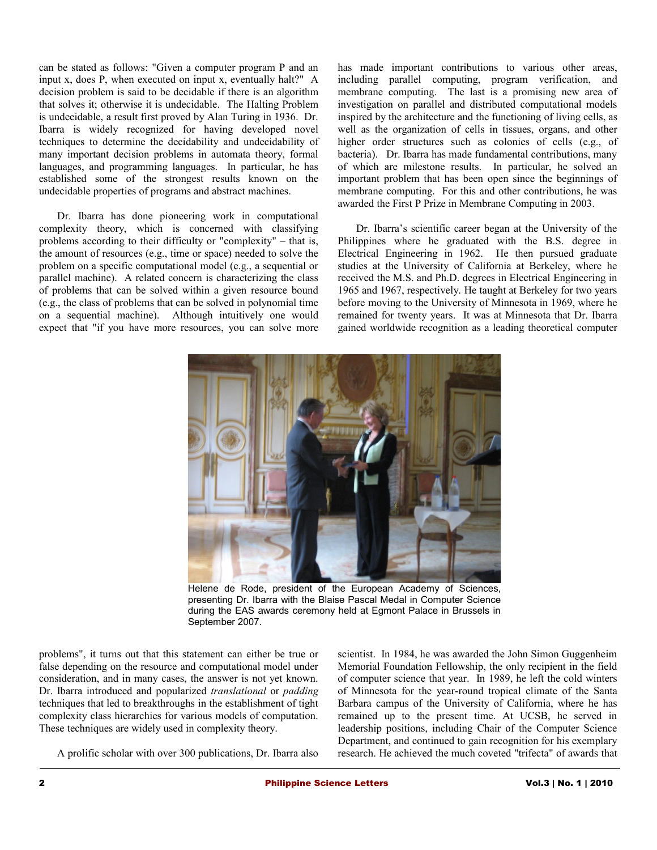can be stated as follows: "Given a computer program P and an input x, does P, when executed on input x, eventually halt?" A decision problem is said to be decidable if there is an algorithm that solves it; otherwise it is undecidable. The Halting Problem is undecidable, a result first proved by Alan Turing in 1936. Dr. Ibarra is widely recognized for having developed novel techniques to determine the decidability and undecidability of many important decision problems in automata theory, formal languages, and programming languages. In particular, he has established some of the strongest results known on the undecidable properties of programs and abstract machines.

Dr. Ibarra has done pioneering work in computational complexity theory, which is concerned with classifying problems according to their difficulty or "complexity" – that is, the amount of resources (e.g., time or space) needed to solve the problem on a specific computational model (e.g., a sequential or parallel machine). A related concern is characterizing the class of problems that can be solved within a given resource bound (e.g., the class of problems that can be solved in polynomial time on a sequential machine). Although intuitively one would expect that "if you have more resources, you can solve more

has made important contributions to various other areas, including parallel computing, program verification, and membrane computing. The last is a promising new area of investigation on parallel and distributed computational models inspired by the architecture and the functioning of living cells, as well as the organization of cells in tissues, organs, and other higher order structures such as colonies of cells (e.g., of bacteria). Dr. Ibarra has made fundamental contributions, many of which are milestone results. In particular, he solved an important problem that has been open since the beginnings of membrane computing. For this and other contributions, he was awarded the First P Prize in Membrane Computing in 2003.

Dr. Ibarra's scientific career began at the University of the Philippines where he graduated with the B.S. degree in Electrical Engineering in 1962. He then pursued graduate studies at the University of California at Berkeley, where he received the M.S. and Ph.D. degrees in Electrical Engineering in 1965 and 1967, respectively. He taught at Berkeley for two years before moving to the University of Minnesota in 1969, where he remained for twenty years. It was at Minnesota that Dr. Ibarra gained worldwide recognition as a leading theoretical computer



Helene de Rode, president of the European Academy of Sciences, presenting Dr. Ibarra with the Blaise Pascal Medal in Computer Science during the EAS awards ceremony held at Egmont Palace in Brussels in September 2007.

problems", it turns out that this statement can either be true or false depending on the resource and computational model under consideration, and in many cases, the answer is not yet known. Dr. Ibarra introduced and popularized *translational* or *padding* techniques that led to breakthroughs in the establishment of tight complexity class hierarchies for various models of computation. These techniques are widely used in complexity theory.

A prolific scholar with over 300 publications, Dr. Ibarra also

scientist. In 1984, he was awarded the John Simon Guggenheim Memorial Foundation Fellowship, the only recipient in the field of computer science that year. In 1989, he left the cold winters of Minnesota for the year-round tropical climate of the Santa Barbara campus of the University of California, where he has remained up to the present time. At UCSB, he served in leadership positions, including Chair of the Computer Science Department, and continued to gain recognition for his exemplary research. He achieved the much coveted "trifecta" of awards that